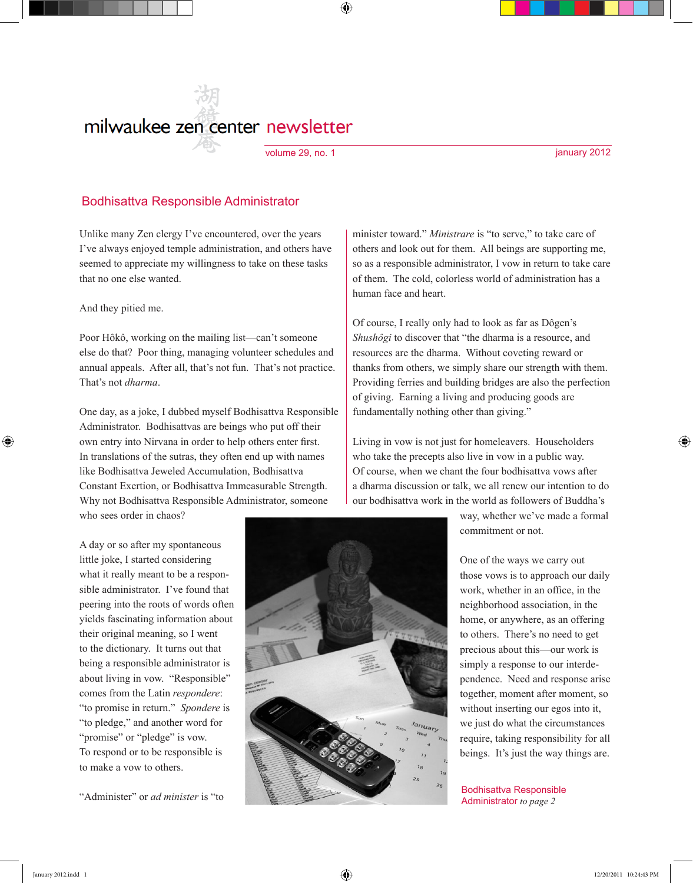# milwaukee zen center newsletter

volume 29, no. 1 january 2012

⊕

### Bodhisattva Responsible Administrator

Unlike many Zen clergy I've encountered, over the years I've always enjoyed temple administration, and others have seemed to appreciate my willingness to take on these tasks that no one else wanted.

And they pitied me.

Poor Hôkô, working on the mailing list—can't someone else do that? Poor thing, managing volunteer schedules and annual appeals. After all, that's not fun. That's not practice. That's not *dharma*.

One day, as a joke, I dubbed myself Bodhisattva Responsible Administrator. Bodhisattvas are beings who put off their own entry into Nirvana in order to help others enter first. In translations of the sutras, they often end up with names like Bodhisattva Jeweled Accumulation, Bodhisattva Constant Exertion, or Bodhisattva Immeasurable Strength. Why not Bodhisattva Responsible Administrator, someone who sees order in chaos?

A day or so after my spontaneous little joke, I started considering what it really meant to be a responsible administrator. I've found that peering into the roots of words often yields fascinating information about their original meaning, so I went to the dictionary. It turns out that being a responsible administrator is about living in vow. "Responsible" comes from the Latin *respondere*: "to promise in return." *Spondere* is "to pledge," and another word for "promise" or "pledge" is vow. To respond or to be responsible is to make a vow to others.

"Administer" or *ad minister* is "to

minister toward." *Ministrare* is "to serve," to take care of others and look out for them. All beings are supporting me, so as a responsible administrator, I vow in return to take care of them. The cold, colorless world of administration has a human face and heart.

Of course, I really only had to look as far as Dôgen's *Shushôgi* to discover that "the dharma is a resource, and resources are the dharma. Without coveting reward or thanks from others, we simply share our strength with them. Providing ferries and building bridges are also the perfection of giving. Earning a living and producing goods are fundamentally nothing other than giving."

Living in vow is not just for homeleavers. Householders who take the precepts also live in vow in a public way. Of course, when we chant the four bodhisattva vows after a dharma discussion or talk, we all renew our intention to do our bodhisattva work in the world as followers of Buddha's

> way, whether we've made a formal commitment or not.

One of the ways we carry out those vows is to approach our daily work, whether in an office, in the neighborhood association, in the home, or anywhere, as an offering to others. There's no need to get precious about this—our work is simply a response to our interdependence. Need and response arise together, moment after moment, so without inserting our egos into it, we just do what the circumstances require, taking responsibility for all beings. It's just the way things are.

Bodhisattva Responsible Administrator *to page 2*

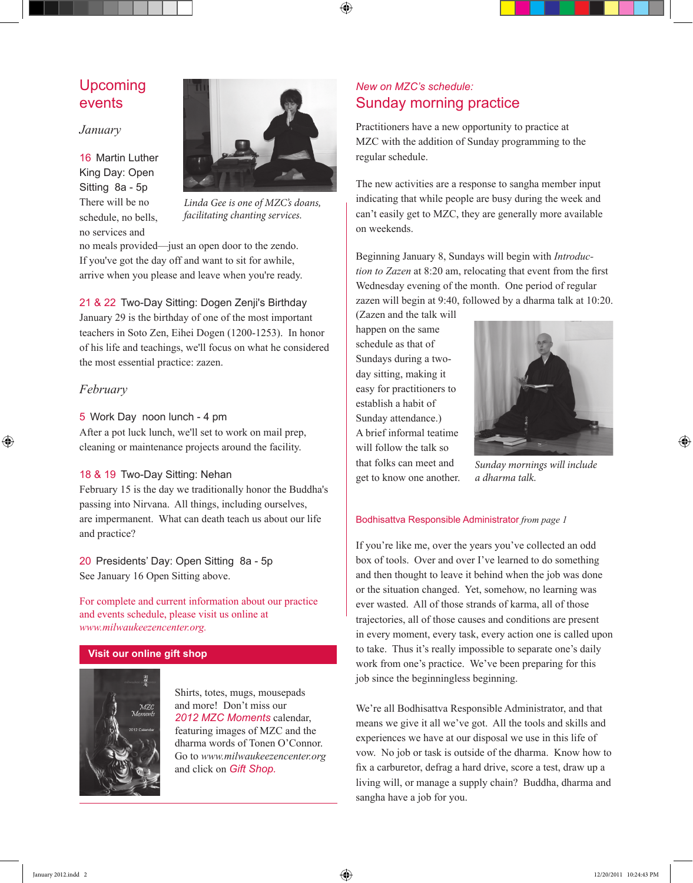## Upcoming events

#### *January*

16 Martin Luther King Day: Open Sitting 8a - 5p There will be no schedule, no bells, no services and



⊕

*Linda Gee is one of MZC's doans, facilitating chanting services.*

no meals provided—just an open door to the zendo. If you've got the day off and want to sit for awhile, arrive when you please and leave when you're ready.

21 & 22 Two-Day Sitting: Dogen Zenji's Birthday January 29 is the birthday of one of the most important teachers in Soto Zen, Eihei Dogen (1200-1253). In honor of his life and teachings, we'll focus on what he considered the most essential practice: zazen.

### *February*

 $\textcircled{\scriptsize{+}}$ 

### 5 Work Day noon lunch - 4 pm

After a pot luck lunch, we'll set to work on mail prep, cleaning or maintenance projects around the facility.

#### 18 & 19 Two-Day Sitting: Nehan

February 15 is the day we traditionally honor the Buddha's passing into Nirvana. All things, including ourselves, are impermanent. What can death teach us about our life and practice?

20 Presidents' Day: Open Sitting 8a - 5p See January 16 Open Sitting above.

For complete and current information about our practice and events schedule, please visit us online at *www.milwaukeezencenter.org.*

#### **Visit our online gift shop**



Shirts, totes, mugs, mousepads and more! Don't miss our *2012 MZC Moments* calendar, featuring images of MZC and the dharma words of Tonen O'Connor. Go to *www.milwaukeezencenter.org* and click on *Gift Shop.*

## *New on MZC's schedule:* Sunday morning practice

Practitioners have a new opportunity to practice at MZC with the addition of Sunday programming to the regular schedule.

The new activities are a response to sangha member input indicating that while people are busy during the week and can't easily get to MZC, they are generally more available on weekends.

Beginning January 8, Sundays will begin with *Introduction to Zazen* at 8:20 am, relocating that event from the first Wednesday evening of the month. One period of regular zazen will begin at 9:40, followed by a dharma talk at 10:20.

(Zazen and the talk will happen on the same schedule as that of Sundays during a twoday sitting, making it easy for practitioners to establish a habit of Sunday attendance.) A brief informal teatime will follow the talk so that folks can meet and get to know one another.



*Sunday mornings will include a dharma talk.*

#### Bodhisattva Responsible Administrator *from page 1*

If you're like me, over the years you've collected an odd box of tools. Over and over I've learned to do something and then thought to leave it behind when the job was done or the situation changed. Yet, somehow, no learning was ever wasted. All of those strands of karma, all of those trajectories, all of those causes and conditions are present in every moment, every task, every action one is called upon to take. Thus it's really impossible to separate one's daily work from one's practice. We've been preparing for this job since the beginningless beginning.

We're all Bodhisattva Responsible Administrator, and that means we give it all we've got. All the tools and skills and experiences we have at our disposal we use in this life of vow. No job or task is outside of the dharma. Know how to fix a carburetor, defrag a hard drive, score a test, draw up a living will, or manage a supply chain? Buddha, dharma and sangha have a job for you.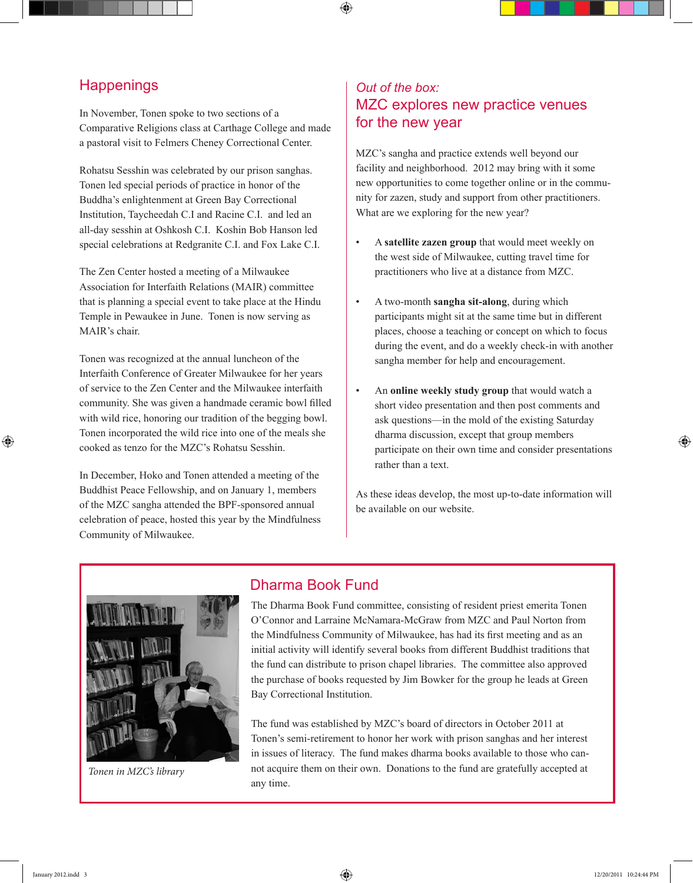## **Happenings**

In November, Tonen spoke to two sections of a Comparative Religions class at Carthage College and made a pastoral visit to Felmers Cheney Correctional Center.

Rohatsu Sesshin was celebrated by our prison sanghas. Tonen led special periods of practice in honor of the Buddha's enlightenment at Green Bay Correctional Institution, Taycheedah C.I and Racine C.I. and led an all-day sesshin at Oshkosh C.I. Koshin Bob Hanson led special celebrations at Redgranite C.I. and Fox Lake C.I.

The Zen Center hosted a meeting of a Milwaukee Association for Interfaith Relations (MAIR) committee that is planning a special event to take place at the Hindu Temple in Pewaukee in June. Tonen is now serving as MAIR's chair.

Tonen was recognized at the annual luncheon of the Interfaith Conference of Greater Milwaukee for her years of service to the Zen Center and the Milwaukee interfaith community. She was given a handmade ceramic bowl filled with wild rice, honoring our tradition of the begging bowl. Tonen incorporated the wild rice into one of the meals she cooked as tenzo for the MZC's Rohatsu Sesshin.

In December, Hoko and Tonen attended a meeting of the Buddhist Peace Fellowship, and on January 1, members of the MZC sangha attended the BPF-sponsored annual celebration of peace, hosted this year by the Mindfulness Community of Milwaukee.

## *Out of the box:*  MZC explores new practice venues for the new year

MZC's sangha and practice extends well beyond our facility and neighborhood. 2012 may bring with it some new opportunities to come together online or in the community for zazen, study and support from other practitioners. What are we exploring for the new year?

- A **satellite zazen group** that would meet weekly on the west side of Milwaukee, cutting travel time for practitioners who live at a distance from MZC.
- A two-month **sangha sit-along**, during which participants might sit at the same time but in different places, choose a teaching or concept on which to focus during the event, and do a weekly check-in with another sangha member for help and encouragement.
- An **online weekly study group** that would watch a short video presentation and then post comments and ask questions—in the mold of the existing Saturday dharma discussion, except that group members participate on their own time and consider presentations rather than a text.

As these ideas develop, the most up-to-date information will be available on our website.



*Tonen in MZC's library*

## Dharma Book Fund

⊕

The Dharma Book Fund committee, consisting of resident priest emerita Tonen O'Connor and Larraine McNamara-McGraw from MZC and Paul Norton from the Mindfulness Community of Milwaukee, has had its first meeting and as an initial activity will identify several books from different Buddhist traditions that the fund can distribute to prison chapel libraries. The committee also approved the purchase of books requested by Jim Bowker for the group he leads at Green Bay Correctional Institution.

The fund was established by MZC's board of directors in October 2011 at Tonen's semi-retirement to honor her work with prison sanghas and her interest in issues of literacy. The fund makes dharma books available to those who cannot acquire them on their own. Donations to the fund are gratefully accepted at any time.

⊕